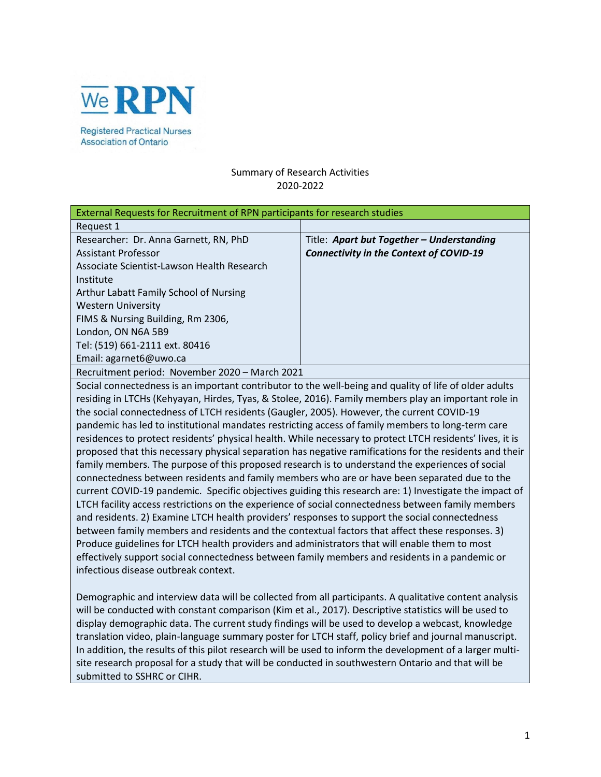

**Association of Ontario** 

# Summary of Research Activities 2020-2022

| External Requests for Recruitment of RPN participants for research studies |                                                |
|----------------------------------------------------------------------------|------------------------------------------------|
| Request 1                                                                  |                                                |
| Researcher: Dr. Anna Garnett, RN, PhD                                      | Title: Apart but Together - Understanding      |
| Assistant Professor                                                        | <b>Connectivity in the Context of COVID-19</b> |
| Associate Scientist-Lawson Health Research                                 |                                                |
| Institute                                                                  |                                                |
| Arthur Labatt Family School of Nursing                                     |                                                |
| <b>Western University</b>                                                  |                                                |
| FIMS & Nursing Building, Rm 2306,                                          |                                                |
| London, ON N6A 5B9                                                         |                                                |
| Tel: (519) 661-2111 ext. 80416                                             |                                                |
| Email: agarnet6@uwo.ca                                                     |                                                |
| Recruitment period: November 2020 - March 2021                             |                                                |

Social connectedness is an important contributor to the well-being and quality of life of older adults residing in LTCHs (Kehyayan, Hirdes, Tyas, & Stolee, 2016). Family members play an important role in the social connectedness of LTCH residents (Gaugler, 2005). However, the current COVID-19 pandemic has led to institutional mandates restricting access of family members to long-term care residences to protect residents' physical health. While necessary to protect LTCH residents' lives, it is proposed that this necessary physical separation has negative ramifications for the residents and their family members. The purpose of this proposed research is to understand the experiences of social connectedness between residents and family members who are or have been separated due to the current COVID-19 pandemic. Specific objectives guiding this research are: 1) Investigate the impact of LTCH facility access restrictions on the experience of social connectedness between family members and residents. 2) Examine LTCH health providers' responses to support the social connectedness between family members and residents and the contextual factors that affect these responses. 3) Produce guidelines for LTCH health providers and administrators that will enable them to most effectively support social connectedness between family members and residents in a pandemic or infectious disease outbreak context.

Demographic and interview data will be collected from all participants. A qualitative content analysis will be conducted with constant comparison (Kim et al., 2017). Descriptive statistics will be used to display demographic data. The current study findings will be used to develop a webcast, knowledge translation video, plain-language summary poster for LTCH staff, policy brief and journal manuscript. In addition, the results of this pilot research will be used to inform the development of a larger multisite research proposal for a study that will be conducted in southwestern Ontario and that will be submitted to SSHRC or CIHR.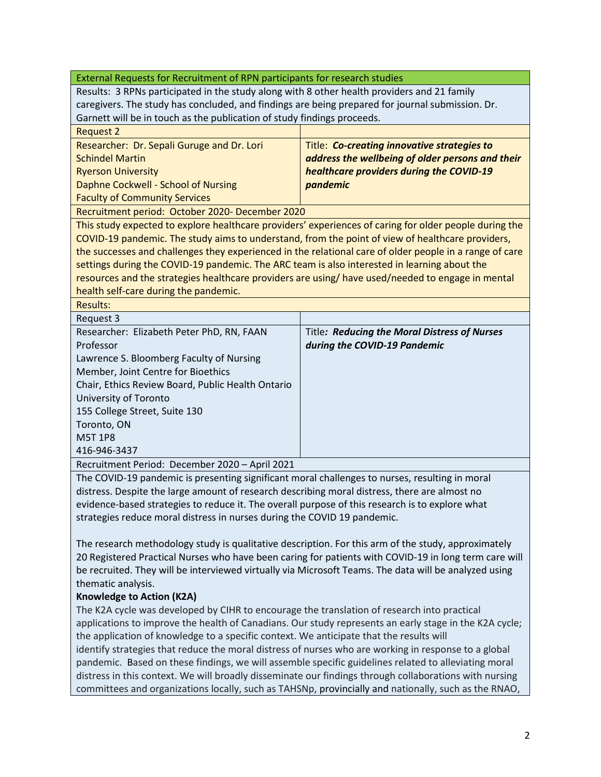| External Requests for Recruitment of RPN participants for research studies                                                                                                                      |                                                                                                        |  |
|-------------------------------------------------------------------------------------------------------------------------------------------------------------------------------------------------|--------------------------------------------------------------------------------------------------------|--|
| Results: 3 RPNs participated in the study along with 8 other health providers and 21 family                                                                                                     |                                                                                                        |  |
| caregivers. The study has concluded, and findings are being prepared for journal submission. Dr.                                                                                                |                                                                                                        |  |
| Garnett will be in touch as the publication of study findings proceeds.                                                                                                                         |                                                                                                        |  |
| <b>Request 2</b>                                                                                                                                                                                |                                                                                                        |  |
| Researcher: Dr. Sepali Guruge and Dr. Lori                                                                                                                                                      | Title: Co-creating innovative strategies to                                                            |  |
| <b>Schindel Martin</b>                                                                                                                                                                          | address the wellbeing of older persons and their                                                       |  |
| <b>Ryerson University</b>                                                                                                                                                                       | healthcare providers during the COVID-19                                                               |  |
| Daphne Cockwell - School of Nursing                                                                                                                                                             | pandemic                                                                                               |  |
| <b>Faculty of Community Services</b>                                                                                                                                                            |                                                                                                        |  |
| Recruitment period: October 2020- December 2020                                                                                                                                                 |                                                                                                        |  |
|                                                                                                                                                                                                 | This study expected to explore healthcare providers' experiences of caring for older people during the |  |
| COVID-19 pandemic. The study aims to understand, from the point of view of healthcare providers,                                                                                                |                                                                                                        |  |
| the successes and challenges they experienced in the relational care of older people in a range of care                                                                                         |                                                                                                        |  |
| settings during the COVID-19 pandemic. The ARC team is also interested in learning about the                                                                                                    |                                                                                                        |  |
| resources and the strategies healthcare providers are using/ have used/needed to engage in mental                                                                                               |                                                                                                        |  |
| health self-care during the pandemic.                                                                                                                                                           |                                                                                                        |  |
| <b>Results:</b>                                                                                                                                                                                 |                                                                                                        |  |
| Request 3                                                                                                                                                                                       |                                                                                                        |  |
| Researcher: Elizabeth Peter PhD, RN, FAAN                                                                                                                                                       | Title: Reducing the Moral Distress of Nurses                                                           |  |
| Professor                                                                                                                                                                                       | during the COVID-19 Pandemic                                                                           |  |
| Lawrence S. Bloomberg Faculty of Nursing                                                                                                                                                        |                                                                                                        |  |
| Member, Joint Centre for Bioethics                                                                                                                                                              |                                                                                                        |  |
| Chair, Ethics Review Board, Public Health Ontario                                                                                                                                               |                                                                                                        |  |
| University of Toronto                                                                                                                                                                           |                                                                                                        |  |
| 155 College Street, Suite 130                                                                                                                                                                   |                                                                                                        |  |
| Toronto, ON                                                                                                                                                                                     |                                                                                                        |  |
| <b>M5T 1P8</b>                                                                                                                                                                                  |                                                                                                        |  |
| 416-946-3437                                                                                                                                                                                    |                                                                                                        |  |
| Recruitment Period: December 2020 - April 2021                                                                                                                                                  |                                                                                                        |  |
| The COVID-19 pandemic is presenting significant moral challenges to nurses, resulting in moral                                                                                                  |                                                                                                        |  |
| distress. Despite the large amount of research describing moral distress, there are almost no                                                                                                   |                                                                                                        |  |
| evidence-based strategies to reduce it. The overall purpose of this research is to explore what                                                                                                 |                                                                                                        |  |
| strategies reduce moral distress in nurses during the COVID 19 pandemic.                                                                                                                        |                                                                                                        |  |
|                                                                                                                                                                                                 |                                                                                                        |  |
| The research methodology study is qualitative description. For this arm of the study, approximately                                                                                             |                                                                                                        |  |
| 20 Registered Practical Nurses who have been caring for patients with COVID-19 in long term care will                                                                                           |                                                                                                        |  |
| be recruited. They will be interviewed virtually via Microsoft Teams. The data will be analyzed using                                                                                           |                                                                                                        |  |
| thematic analysis.                                                                                                                                                                              |                                                                                                        |  |
| <b>Knowledge to Action (K2A)</b>                                                                                                                                                                |                                                                                                        |  |
| The K2A cycle was developed by CIHR to encourage the translation of research into practical                                                                                                     |                                                                                                        |  |
| applications to improve the health of Canadians. Our study represents an early stage in the K2A cycle;                                                                                          |                                                                                                        |  |
| the application of knowledge to a specific context. We anticipate that the results will<br>identify strategies that reduce the moral distress of nurses who are working in response to a global |                                                                                                        |  |
| pandemic. Based on these findings, we will assemble specific guidelines related to alleviating moral                                                                                            |                                                                                                        |  |
| distress in this context. We will broadly disseminate our findings through collaborations with nursing                                                                                          |                                                                                                        |  |

committees and organizations locally, such as TAHSNp, provincially and nationally, such as the RNAO,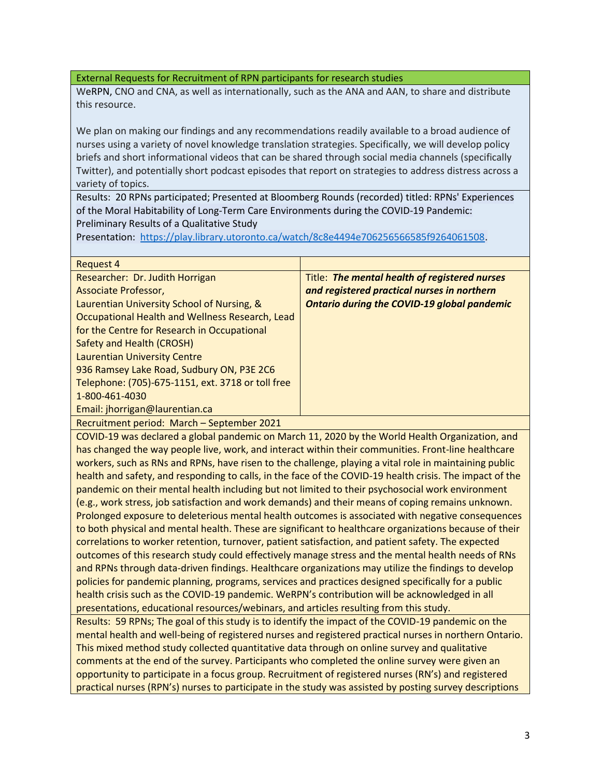WeRPN, CNO and CNA, as well as internationally, such as the ANA and AAN, to share and distribute this resource.

We plan on making our findings and any recommendations readily available to a broad audience of nurses using a variety of novel knowledge translation strategies. Specifically, we will develop policy briefs and short informational videos that can be shared through social media channels (specifically Twitter), and potentially short podcast episodes that report on strategies to address distress across a variety of topics.

Results: 20 RPNs participated; Presented at Bloomberg Rounds (recorded) titled: RPNs' Experiences of the Moral Habitability of Long-Term Care Environments during the COVID-19 Pandemic: Preliminary Results of a Qualitative Study

Presentation: [https://play.library.utoronto.ca/watch/8c8e4494e706256566585f9264061508.](https://play.library.utoronto.ca/watch/8c8e4494e706256566585f9264061508)

| Request 4                                         |                                                    |
|---------------------------------------------------|----------------------------------------------------|
| Researcher: Dr. Judith Horrigan                   | Title: The mental health of registered nurses      |
| Associate Professor,                              | and registered practical nurses in northern        |
| Laurentian University School of Nursing, &        | <b>Ontario during the COVID-19 global pandemic</b> |
| Occupational Health and Wellness Research, Lead   |                                                    |
| for the Centre for Research in Occupational       |                                                    |
| Safety and Health (CROSH)                         |                                                    |
| <b>Laurentian University Centre</b>               |                                                    |
| 936 Ramsey Lake Road, Sudbury ON, P3E 2C6         |                                                    |
| Telephone: (705)-675-1151, ext. 3718 or toll free |                                                    |
| 1-800-461-4030                                    |                                                    |
| Email: jhorrigan@laurentian.ca                    |                                                    |
| Desmites ast nomed. Monak Contain has 2021        |                                                    |

Recruitment period: March – September 2021

COVID-19 was declared a global pandemic on March 11, 2020 by the World Health Organization, and has changed the way people live, work, and interact within their communities. Front-line healthcare workers, such as RNs and RPNs, have risen to the challenge, playing a vital role in maintaining public health and safety, and responding to calls, in the face of the COVID-19 health crisis. The impact of the pandemic on their mental health including but not limited to their psychosocial work environment (e.g., work stress, job satisfaction and work demands) and their means of coping remains unknown. Prolonged exposure to deleterious mental health outcomes is associated with negative consequences to both physical and mental health. These are significant to healthcare organizations because of their correlations to worker retention, turnover, patient satisfaction, and patient safety. The expected outcomes of this research study could effectively manage stress and the mental health needs of RNs and RPNs through data-driven findings. Healthcare organizations may utilize the findings to develop policies for pandemic planning, programs, services and practices designed specifically for a public health crisis such as the COVID-19 pandemic. WeRPN's contribution will be acknowledged in all presentations, educational resources/webinars, and articles resulting from this study.

Results: 59 RPNs; The goal of this study is to identify the impact of the COVID-19 pandemic on the mental health and well-being of registered nurses and registered practical nurses in northern Ontario. This mixed method study collected quantitative data through on online survey and qualitative comments at the end of the survey. Participants who completed the online survey were given an opportunity to participate in a focus group. Recruitment of registered nurses (RN's) and registered practical nurses (RPN's) nurses to participate in the study was assisted by posting survey descriptions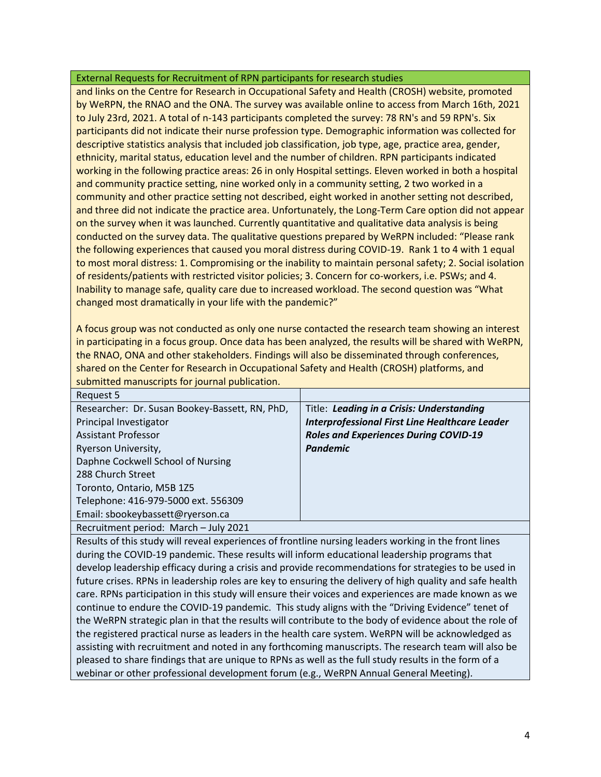and links on the Centre for Research in Occupational Safety and Health (CROSH) website, promoted by WeRPN, the RNAO and the ONA. The survey was available online to access from March 16th, 2021 to July 23rd, 2021. A total of n-143 participants completed the survey: 78 RN's and 59 RPN's. Six participants did not indicate their nurse profession type. Demographic information was collected for descriptive statistics analysis that included job classification, job type, age, practice area, gender, ethnicity, marital status, education level and the number of children. RPN participants indicated working in the following practice areas: 26 in only Hospital settings. Eleven worked in both a hospital and community practice setting, nine worked only in a community setting, 2 two worked in a community and other practice setting not described, eight worked in another setting not described, and three did not indicate the practice area. Unfortunately, the Long-Term Care option did not appear on the survey when it was launched. Currently quantitative and qualitative data analysis is being conducted on the survey data. The qualitative questions prepared by WeRPN included: "Please rank the following experiences that caused you moral distress during COVID-19. Rank 1 to 4 with 1 equal to most moral distress: 1. Compromising or the inability to maintain personal safety; 2. Social isolation of residents/patients with restricted visitor policies; 3. Concern for co-workers, i.e. PSWs; and 4. Inability to manage safe, quality care due to increased workload. The second question was "What changed most dramatically in your life with the pandemic?"

A focus group was not conducted as only one nurse contacted the research team showing an interest in participating in a focus group. Once data has been analyzed, the results will be shared with WeRPN, the RNAO, ONA and other stakeholders. Findings will also be disseminated through conferences, shared on the Center for Research in Occupational Safety and Health (CROSH) platforms, and submitted manuscripts for journal publication.

| Request 5                                      |                                                       |
|------------------------------------------------|-------------------------------------------------------|
| Researcher: Dr. Susan Bookey-Bassett, RN, PhD, | Title: Leading in a Crisis: Understanding             |
| Principal Investigator                         | <b>Interprofessional First Line Healthcare Leader</b> |
| <b>Assistant Professor</b>                     | <b>Roles and Experiences During COVID-19</b>          |
| Ryerson University,                            | <b>Pandemic</b>                                       |
| Daphne Cockwell School of Nursing              |                                                       |
| 288 Church Street                              |                                                       |
| Toronto, Ontario, M5B 1Z5                      |                                                       |
| Telephone: 416-979-5000 ext. 556309            |                                                       |
| Email: sbookeybassett@ryerson.ca               |                                                       |
| Recruitment period: March - July 2021          |                                                       |

Results of this study will reveal experiences of frontline nursing leaders working in the front lines during the COVID-19 pandemic. These results will inform educational leadership programs that develop leadership efficacy during a crisis and provide recommendations for strategies to be used in future crises. RPNs in leadership roles are key to ensuring the delivery of high quality and safe health care. RPNs participation in this study will ensure their voices and experiences are made known as we continue to endure the COVID-19 pandemic. This study aligns with the "Driving Evidence" tenet of the WeRPN strategic plan in that the results will contribute to the body of evidence about the role of the registered practical nurse as leaders in the health care system. WeRPN will be acknowledged as assisting with recruitment and noted in any forthcoming manuscripts. The research team will also be pleased to share findings that are unique to RPNs as well as the full study results in the form of a webinar or other professional development forum (e.g., WeRPN Annual General Meeting).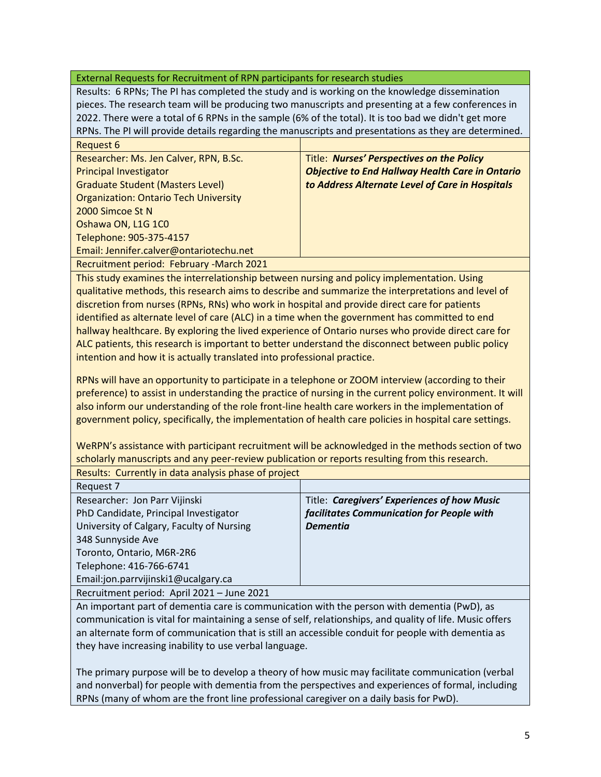Results: 6 RPNs; The PI has completed the study and is working on the knowledge dissemination pieces. The research team will be producing two manuscripts and presenting at a few conferences in 2022. There were a total of 6 RPNs in the sample (6% of the total). It is too bad we didn't get more RPNs. The PI will provide details regarding the manuscripts and presentations as they are determined. Request 6

| ncyucor o                                    |                                                        |
|----------------------------------------------|--------------------------------------------------------|
| Researcher: Ms. Jen Calver, RPN, B.Sc.       | Title: Nurses' Perspectives on the Policy              |
| <b>Principal Investigator</b>                | <b>Objective to End Hallway Health Care in Ontario</b> |
| <b>Graduate Student (Masters Level)</b>      | to Address Alternate Level of Care in Hospitals        |
| <b>Organization: Ontario Tech University</b> |                                                        |
| 2000 Simcoe St N                             |                                                        |
| Oshawa ON, L1G 1C0                           |                                                        |
| Telephone: 905-375-4157                      |                                                        |
| Email: Jennifer.calver@ontariotechu.net      |                                                        |
|                                              |                                                        |

Recruitment period: February -March 2021

This study examines the interrelationship between nursing and policy implementation. Using qualitative methods, this research aims to describe and summarize the interpretations and level of discretion from nurses (RPNs, RNs) who work in hospital and provide direct care for patients identified as alternate level of care (ALC) in a time when the government has committed to end hallway healthcare. By exploring the lived experience of Ontario nurses who provide direct care for ALC patients, this research is important to better understand the disconnect between public policy intention and how it is actually translated into professional practice.

RPNs will have an opportunity to participate in a telephone or ZOOM interview (according to their preference) to assist in understanding the practice of nursing in the current policy environment. It will also inform our understanding of the role front-line health care workers in the implementation of government policy, specifically, the implementation of health care policies in hospital care settings.

WeRPN's assistance with participant recruitment will be acknowledged in the methods section of two scholarly manuscripts and any peer-review publication or reports resulting from this research. Results: Currently in data analysis phase of project

| Request 7                                  |                                             |
|--------------------------------------------|---------------------------------------------|
| Researcher: Jon Parr Vijinski              | Title: Caregivers' Experiences of how Music |
| PhD Candidate, Principal Investigator      | facilitates Communication for People with   |
| University of Calgary, Faculty of Nursing  | <b>Dementia</b>                             |
| 348 Sunnyside Ave                          |                                             |
| Toronto, Ontario, M6R-2R6                  |                                             |
| Telephone: 416-766-6741                    |                                             |
| Email:jon.parrvijinski1@ucalgary.ca        |                                             |
| Recruitment period: April 2021 - June 2021 |                                             |

An important part of dementia care is communication with the person with dementia (PwD), as communication is vital for maintaining a sense of self, relationships, and quality of life. Music offers an alternate form of communication that is still an accessible conduit for people with dementia as they have increasing inability to use verbal language.

The primary purpose will be to develop a theory of how music may facilitate communication (verbal and nonverbal) for people with dementia from the perspectives and experiences of formal, including RPNs (many of whom are the front line professional caregiver on a daily basis for PwD).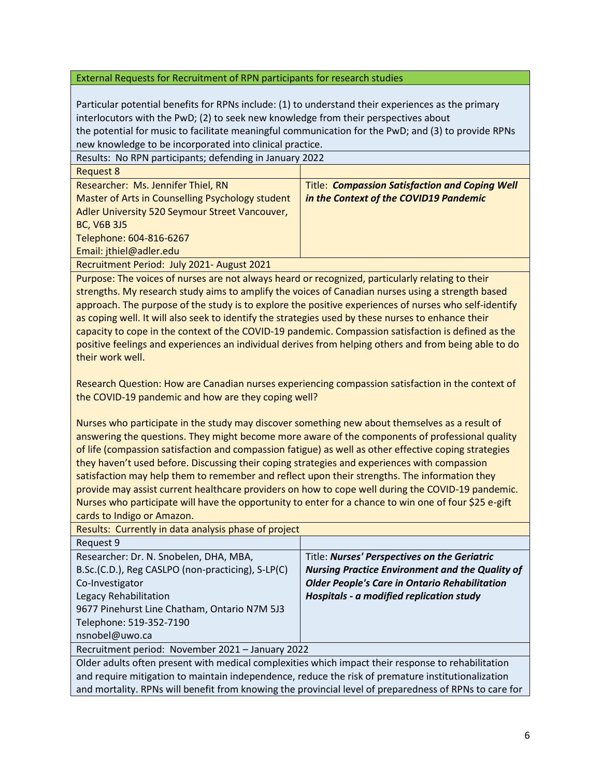Particular potential benefits for RPNs include: (1) to understand their experiences as the primary interlocutors with the PwD; (2) to seek new knowledge from their perspectives about the potential for music to facilitate meaningful communication for the PwD; and (3) to provide RPNs new knowledge to be incorporated into clinical practice.

Results: No RPN participants; defending in January 2022 Request 8 Researcher: Ms. Jennifer Thiel, RN Master of Arts in Counselling Psychology student Adler University 520 Seymour Street Vancouver, BC, V6B 3J5 Telephone: 604-816-6267 Email: jthiel@adler.edu Title: *Compassion Satisfaction and Coping Well in the Context of the COVID19 Pandemic*

Recruitment Period: July 2021- August 2021

Purpose: The voices of nurses are not always heard or recognized, particularly relating to their strengths. My research study aims to amplify the voices of Canadian nurses using a strength based approach. The purpose of the study is to explore the positive experiences of nurses who self-identify as coping well. It will also seek to identify the strategies used by these nurses to enhance their capacity to cope in the context of the COVID-19 pandemic. Compassion satisfaction is defined as the positive feelings and experiences an individual derives from helping others and from being able to do their work well.

Research Question: How are Canadian nurses experiencing compassion satisfaction in the context of the COVID-19 pandemic and how are they coping well?

Nurses who participate in the study may discover something new about themselves as a result of answering the questions. They might become more aware of the components of professional quality of life (compassion satisfaction and compassion fatigue) as well as other effective coping strategies they haven't used before. Discussing their coping strategies and experiences with compassion satisfaction may help them to remember and reflect upon their strengths. The information they provide may assist current healthcare providers on how to cope well during the COVID-19 pandemic. Nurses who participate will have the opportunity to enter for a chance to win one of four \$25 e-gift cards to Indigo or Amazon.

| Results: Currently in data analysis phase of project                                                           |                                                        |
|----------------------------------------------------------------------------------------------------------------|--------------------------------------------------------|
| Request 9                                                                                                      |                                                        |
| Researcher: Dr. N. Snobelen, DHA, MBA,                                                                         | Title: Nurses' Perspectives on the Geriatric           |
| B.Sc.(C.D.), Reg CASLPO (non-practicing), S-LP(C)                                                              | <b>Nursing Practice Environment and the Quality of</b> |
| Co-Investigator                                                                                                | <b>Older People's Care in Ontario Rehabilitation</b>   |
| Legacy Rehabilitation                                                                                          | Hospitals - a modified replication study               |
| 9677 Pinehurst Line Chatham, Ontario N7M 5J3                                                                   |                                                        |
| Telephone: 519-352-7190                                                                                        |                                                        |
| nsnobel@uwo.ca                                                                                                 |                                                        |
| Recruitment period: November 2021 - January 2022                                                               |                                                        |
| Older adults often present with medical complexities which impact their response to rehabilitation             |                                                        |
| and the second contract of the second contract of the second contract of the second contract of the second con |                                                        |

and require mitigation to maintain independence, reduce the risk of premature institutionalization and mortality. RPNs will benefit from knowing the provincial level of preparedness of RPNs to care for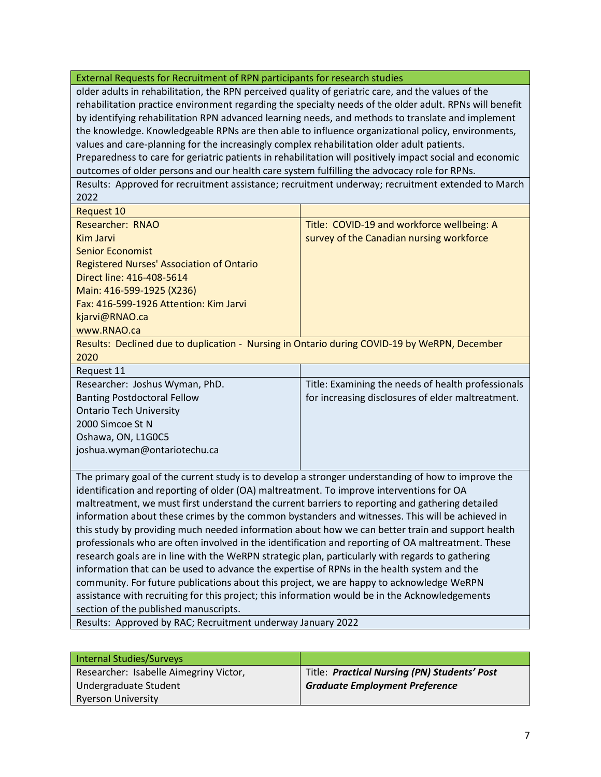older adults in rehabilitation, the RPN perceived quality of geriatric care, and the values of the rehabilitation practice environment regarding the specialty needs of the older adult. RPNs will benefit by identifying rehabilitation RPN advanced learning needs, and methods to translate and implement the knowledge. Knowledgeable RPNs are then able to influence organizational policy, environments, values and care-planning for the increasingly complex rehabilitation older adult patients. Preparedness to care for geriatric patients in rehabilitation will positively impact social and economic outcomes of older persons and our health care system fulfilling the advocacy role for RPNs.

Results: Approved for recruitment assistance; recruitment underway; recruitment extended to March 2022

| Request 10                                                                                   |                                            |
|----------------------------------------------------------------------------------------------|--------------------------------------------|
| Researcher: RNAO                                                                             | Title: COVID-19 and workforce wellbeing: A |
| Kim Jarvi                                                                                    | survey of the Canadian nursing workforce   |
| Senior Economist                                                                             |                                            |
| <b>Registered Nurses' Association of Ontario</b>                                             |                                            |
| Direct line: 416-408-5614                                                                    |                                            |
| Main: 416-599-1925 (X236)                                                                    |                                            |
| Fax: 416-599-1926 Attention: Kim Jarvi                                                       |                                            |
| kjarvi@RNAO.ca                                                                               |                                            |
| www.RNAO.ca                                                                                  |                                            |
| Results: Declined due to duplication - Nursing in Ontario during COVID-19 by WeRPN, December |                                            |

2020

| Request 11                         |                                                    |
|------------------------------------|----------------------------------------------------|
| Researcher: Joshus Wyman, PhD.     | Title: Examining the needs of health professionals |
| <b>Banting Postdoctoral Fellow</b> | for increasing disclosures of elder maltreatment.  |
| <b>Ontario Tech University</b>     |                                                    |
| 2000 Simcoe St N                   |                                                    |
| Oshawa, ON, L1G0C5                 |                                                    |
| joshua.wyman@ontariotechu.ca       |                                                    |
|                                    |                                                    |

The primary goal of the current study is to develop a stronger understanding of how to improve the identification and reporting of older (OA) maltreatment. To improve interventions for OA maltreatment, we must first understand the current barriers to reporting and gathering detailed information about these crimes by the common bystanders and witnesses. This will be achieved in this study by providing much needed information about how we can better train and support health professionals who are often involved in the identification and reporting of OA maltreatment. These research goals are in line with the WeRPN strategic plan, particularly with regards to gathering information that can be used to advance the expertise of RPNs in the health system and the community. For future publications about this project, we are happy to acknowledge WeRPN assistance with recruiting for this project; this information would be in the Acknowledgements section of the published manuscripts.

Results: Approved by RAC; Recruitment underway January 2022

| Internal Studies/Surveys               |                                              |
|----------------------------------------|----------------------------------------------|
| Researcher: Isabelle Aimegriny Victor, | Title: Practical Nursing (PN) Students' Post |
| Undergraduate Student                  | <b>Graduate Employment Preference</b>        |
| <b>Ryerson University</b>              |                                              |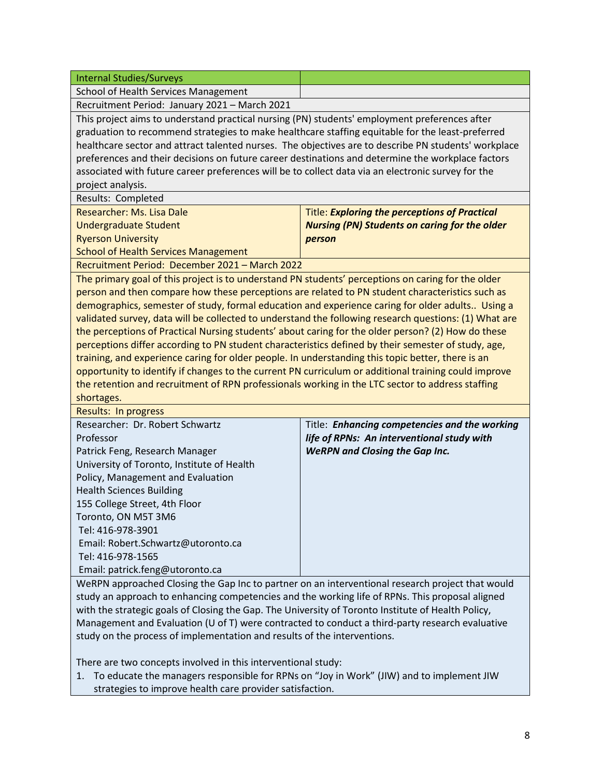| <b>Internal Studies/Surveys</b>                                                                                         |                                                      |  |
|-------------------------------------------------------------------------------------------------------------------------|------------------------------------------------------|--|
| School of Health Services Management                                                                                    |                                                      |  |
| Recruitment Period: January 2021 - March 2021                                                                           |                                                      |  |
| This project aims to understand practical nursing (PN) students' employment preferences after                           |                                                      |  |
| graduation to recommend strategies to make healthcare staffing equitable for the least-preferred                        |                                                      |  |
| healthcare sector and attract talented nurses. The objectives are to describe PN students' workplace                    |                                                      |  |
| preferences and their decisions on future career destinations and determine the workplace factors                       |                                                      |  |
|                                                                                                                         |                                                      |  |
| associated with future career preferences will be to collect data via an electronic survey for the<br>project analysis. |                                                      |  |
| Results: Completed                                                                                                      |                                                      |  |
| Researcher: Ms. Lisa Dale                                                                                               | <b>Title: Exploring the perceptions of Practical</b> |  |
| <b>Undergraduate Student</b>                                                                                            | <b>Nursing (PN) Students on caring for the older</b> |  |
|                                                                                                                         |                                                      |  |
| <b>Ryerson University</b>                                                                                               | person                                               |  |
| <b>School of Health Services Management</b>                                                                             |                                                      |  |
| Recruitment Period: December 2021 - March 2022                                                                          |                                                      |  |
| The primary goal of this project is to understand PN students' perceptions on caring for the older                      |                                                      |  |
| person and then compare how these perceptions are related to PN student characteristics such as                         |                                                      |  |
| demographics, semester of study, formal education and experience caring for older adults Using a                        |                                                      |  |
| validated survey, data will be collected to understand the following research questions: (1) What are                   |                                                      |  |
| the perceptions of Practical Nursing students' about caring for the older person? (2) How do these                      |                                                      |  |
| perceptions differ according to PN student characteristics defined by their semester of study, age,                     |                                                      |  |
| training, and experience caring for older people. In understanding this topic better, there is an                       |                                                      |  |
| opportunity to identify if changes to the current PN curriculum or additional training could improve                    |                                                      |  |
| the retention and recruitment of RPN professionals working in the LTC sector to address staffing                        |                                                      |  |
| shortages.                                                                                                              |                                                      |  |
| Results: In progress<br>Researcher: Dr. Robert Schwartz                                                                 |                                                      |  |
|                                                                                                                         | Title: Enhancing competencies and the working        |  |
| Professor                                                                                                               | life of RPNs: An interventional study with           |  |
| Patrick Feng, Research Manager                                                                                          | <b>WeRPN and Closing the Gap Inc.</b>                |  |
| University of Toronto, Institute of Health                                                                              |                                                      |  |
| Policy, Management and Evaluation                                                                                       |                                                      |  |
| <b>Health Sciences Building</b>                                                                                         |                                                      |  |
| 155 College Street, 4th Floor                                                                                           |                                                      |  |
| Toronto, ON M5T 3M6                                                                                                     |                                                      |  |
| Tel: 416-978-3901                                                                                                       |                                                      |  |
| Email: Robert.Schwartz@utoronto.ca                                                                                      |                                                      |  |
| Tel: 416-978-1565                                                                                                       |                                                      |  |
| Email: patrick.feng@utoronto.ca                                                                                         |                                                      |  |
| WeRPN approached Closing the Gap Inc to partner on an interventional research project that would                        |                                                      |  |
| study an approach to enhancing competencies and the working life of RPNs. This proposal aligned                         |                                                      |  |
| with the strategic goals of Closing the Gap. The University of Toronto Institute of Health Policy,                      |                                                      |  |
| Management and Evaluation (U of T) were contracted to conduct a third-party research evaluative                         |                                                      |  |
| study on the process of implementation and results of the interventions.                                                |                                                      |  |

There are two concepts involved in this interventional study:

1. To educate the managers responsible for RPNs on "Joy in Work" (JIW) and to implement JIW strategies to improve health care provider satisfaction.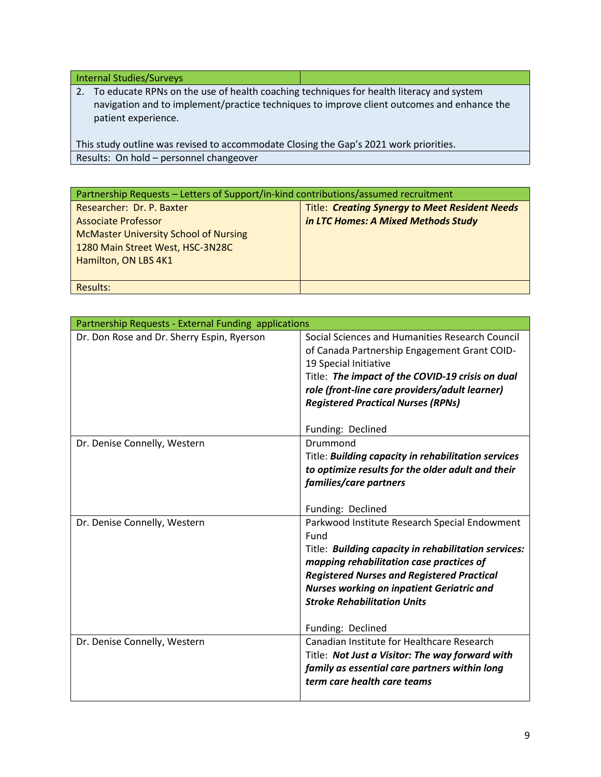Internal Studies/Surveys

2. To educate RPNs on the use of health coaching techniques for health literacy and system navigation and to implement/practice techniques to improve client outcomes and enhance the patient experience.

This study outline was revised to accommodate Closing the Gap's 2021 work priorities. Results: On hold – personnel changeover

| Partnership Requests - Letters of Support/in-kind contributions/assumed recruitment |                                                       |
|-------------------------------------------------------------------------------------|-------------------------------------------------------|
| Researcher: Dr. P. Baxter                                                           | <b>Title: Creating Synergy to Meet Resident Needs</b> |
| <b>Associate Professor</b>                                                          | in LTC Homes: A Mixed Methods Study                   |
| <b>McMaster University School of Nursing</b>                                        |                                                       |
| 1280 Main Street West, HSC-3N28C                                                    |                                                       |
| Hamilton, ON LBS 4K1                                                                |                                                       |
|                                                                                     |                                                       |
| Results:                                                                            |                                                       |

| Partnership Requests - External Funding applications |                                                      |
|------------------------------------------------------|------------------------------------------------------|
| Dr. Don Rose and Dr. Sherry Espin, Ryerson           | Social Sciences and Humanities Research Council      |
|                                                      | of Canada Partnership Engagement Grant COID-         |
|                                                      | 19 Special Initiative                                |
|                                                      | Title: The impact of the COVID-19 crisis on dual     |
|                                                      | role (front-line care providers/adult learner)       |
|                                                      | <b>Registered Practical Nurses (RPNs)</b>            |
|                                                      |                                                      |
|                                                      | Funding: Declined                                    |
| Dr. Denise Connelly, Western                         | Drummond                                             |
|                                                      | Title: Building capacity in rehabilitation services  |
|                                                      | to optimize results for the older adult and their    |
|                                                      | families/care partners                               |
|                                                      | Funding: Declined                                    |
| Dr. Denise Connelly, Western                         | Parkwood Institute Research Special Endowment        |
|                                                      | Fund                                                 |
|                                                      | Title: Building capacity in rehabilitation services: |
|                                                      | mapping rehabilitation case practices of             |
|                                                      | <b>Registered Nurses and Registered Practical</b>    |
|                                                      | <b>Nurses working on inpatient Geriatric and</b>     |
|                                                      | <b>Stroke Rehabilitation Units</b>                   |
|                                                      | Funding: Declined                                    |
| Dr. Denise Connelly, Western                         | Canadian Institute for Healthcare Research           |
|                                                      | Title: Not Just a Visitor: The way forward with      |
|                                                      | family as essential care partners within long        |
|                                                      | term care health care teams                          |
|                                                      |                                                      |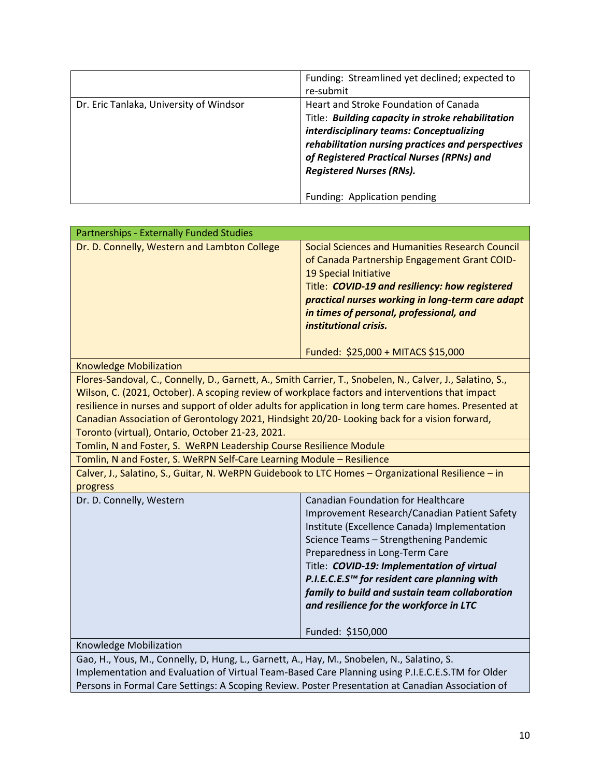|                                         | Funding: Streamlined yet declined; expected to<br>re-submit                                                                                                                                                                                                                                                 |
|-----------------------------------------|-------------------------------------------------------------------------------------------------------------------------------------------------------------------------------------------------------------------------------------------------------------------------------------------------------------|
| Dr. Eric Tanlaka, University of Windsor | Heart and Stroke Foundation of Canada<br>Title: Building capacity in stroke rehabilitation<br>interdisciplinary teams: Conceptualizing<br>rehabilitation nursing practices and perspectives<br>of Registered Practical Nurses (RPNs) and<br><b>Registered Nurses (RNs).</b><br>Funding: Application pending |

| Partnerships - Externally Funded Studies                                                                                                                                                                                                                                                                                                                                                                                                                                     |                                                                                                                                                                                                                                                                                                                                                                                                                                       |
|------------------------------------------------------------------------------------------------------------------------------------------------------------------------------------------------------------------------------------------------------------------------------------------------------------------------------------------------------------------------------------------------------------------------------------------------------------------------------|---------------------------------------------------------------------------------------------------------------------------------------------------------------------------------------------------------------------------------------------------------------------------------------------------------------------------------------------------------------------------------------------------------------------------------------|
| Dr. D. Connelly, Western and Lambton College                                                                                                                                                                                                                                                                                                                                                                                                                                 | <b>Social Sciences and Humanities Research Council</b><br>of Canada Partnership Engagement Grant COID-<br>19 Special Initiative<br>Title: COVID-19 and resiliency: how registered<br>practical nurses working in long-term care adapt<br>in times of personal, professional, and<br>institutional crisis.                                                                                                                             |
|                                                                                                                                                                                                                                                                                                                                                                                                                                                                              | Funded: \$25,000 + MITACS \$15,000                                                                                                                                                                                                                                                                                                                                                                                                    |
| <b>Knowledge Mobilization</b>                                                                                                                                                                                                                                                                                                                                                                                                                                                |                                                                                                                                                                                                                                                                                                                                                                                                                                       |
| Flores-Sandoval, C., Connelly, D., Garnett, A., Smith Carrier, T., Snobelen, N., Calver, J., Salatino, S.,<br>Wilson, C. (2021, October). A scoping review of workplace factors and interventions that impact<br>resilience in nurses and support of older adults for application in long term care homes. Presented at<br>Canadian Association of Gerontology 2021, Hindsight 20/20- Looking back for a vision forward,<br>Toronto (virtual), Ontario, October 21-23, 2021. |                                                                                                                                                                                                                                                                                                                                                                                                                                       |
| Tomlin, N and Foster, S. WeRPN Leadership Course Resilience Module                                                                                                                                                                                                                                                                                                                                                                                                           |                                                                                                                                                                                                                                                                                                                                                                                                                                       |
| Tomlin, N and Foster, S. WeRPN Self-Care Learning Module - Resilience                                                                                                                                                                                                                                                                                                                                                                                                        |                                                                                                                                                                                                                                                                                                                                                                                                                                       |
| Calver, J., Salatino, S., Guitar, N. WeRPN Guidebook to LTC Homes - Organizational Resilience - in<br>progress                                                                                                                                                                                                                                                                                                                                                               |                                                                                                                                                                                                                                                                                                                                                                                                                                       |
| Dr. D. Connelly, Western                                                                                                                                                                                                                                                                                                                                                                                                                                                     | <b>Canadian Foundation for Healthcare</b><br>Improvement Research/Canadian Patient Safety<br>Institute (Excellence Canada) Implementation<br>Science Teams - Strengthening Pandemic<br>Preparedness in Long-Term Care<br>Title: COVID-19: Implementation of virtual<br>P.I.E.C.E.S™ for resident care planning with<br>family to build and sustain team collaboration<br>and resilience for the workforce in LTC<br>Funded: \$150,000 |
| Knowledge Mobilization                                                                                                                                                                                                                                                                                                                                                                                                                                                       |                                                                                                                                                                                                                                                                                                                                                                                                                                       |
| Gao, H., Yous, M., Connelly, D, Hung, L., Garnett, A., Hay, M., Snobelen, N., Salatino, S.                                                                                                                                                                                                                                                                                                                                                                                   |                                                                                                                                                                                                                                                                                                                                                                                                                                       |
| Implementation and Evaluation of Virtual Team-Based Care Planning using P.I.E.C.E.S.TM for Older                                                                                                                                                                                                                                                                                                                                                                             |                                                                                                                                                                                                                                                                                                                                                                                                                                       |

Persons in Formal Care Settings: A Scoping Review. Poster Presentation at Canadian Association of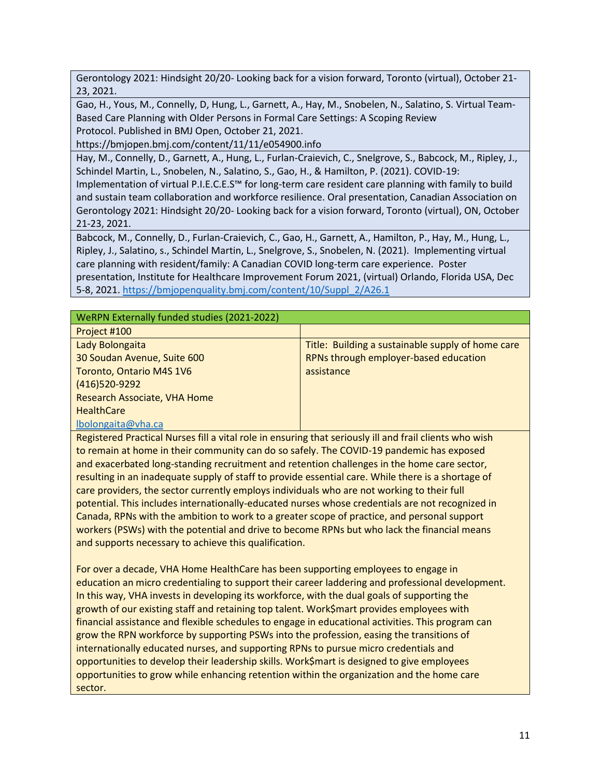Gerontology 2021: Hindsight 20/20- Looking back for a vision forward, Toronto (virtual), October 21- 23, 2021.

Gao, H., Yous, M., Connelly, D, Hung, L., Garnett, A., Hay, M., Snobelen, N., Salatino, S. Virtual Team-Based Care Planning with Older Persons in Formal Care Settings: A Scoping Review Protocol. Published in BMJ Open, October 21, 2021.

https://bmjopen.bmj.com/content/11/11/e054900.info

Hay, M., Connelly, D., Garnett, A., Hung, L., Furlan-Craievich, C., Snelgrove, S., Babcock, M., Ripley, J., Schindel Martin, L., Snobelen, N., Salatino, S., Gao, H., & Hamilton, P. (2021). COVID-19:

Implementation of virtual P.I.E.C.E.S™ for long-term care resident care planning with family to build and sustain team collaboration and workforce resilience. Oral presentation, Canadian Association on Gerontology 2021: Hindsight 20/20- Looking back for a vision forward, Toronto (virtual), ON, October 21-23, 2021.

Babcock, M., Connelly, D., Furlan-Craievich, C., Gao, H., Garnett, A., Hamilton, P., Hay, M., Hung, L., Ripley, J., Salatino, s., Schindel Martin, L., Snelgrove, S., Snobelen, N. (2021). Implementing virtual care planning with resident/family: A Canadian COVID long-term care experience. Poster presentation, Institute for Healthcare Improvement Forum 2021, (virtual) Orlando, Florida USA, Dec 5-8, 2021. [https://bmjopenquality.bmj.com/content/10/Suppl\\_2/A26.1](https://bmjopenquality.bmj.com/content/10/Suppl_2/A26.1)

### WeRPN Externally funded studies (2021-2022)

| Project #100                 |                                                   |
|------------------------------|---------------------------------------------------|
| Lady Bolongaita              | Title: Building a sustainable supply of home care |
| 30 Soudan Avenue, Suite 600  | RPNs through employer-based education             |
| Toronto, Ontario M4S 1V6     | assistance                                        |
| (416)520-9292                |                                                   |
| Research Associate, VHA Home |                                                   |
| <b>HealthCare</b>            |                                                   |
| lbolongaita@vha.ca           |                                                   |

Registered Practical Nurses fill a vital role in ensuring that seriously ill and frail clients who wish to remain at home in their community can do so safely. The COVID-19 pandemic has exposed and exacerbated long-standing recruitment and retention challenges in the home care sector, resulting in an inadequate supply of staff to provide essential care. While there is a shortage of care providers, the sector currently employs individuals who are not working to their full potential. This includes internationally-educated nurses whose credentials are not recognized in Canada, RPNs with the ambition to work to a greater scope of practice, and personal support workers (PSWs) with the potential and drive to become RPNs but who lack the financial means and supports necessary to achieve this qualification.

For over a decade, VHA Home HealthCare has been supporting employees to engage in education an micro credentialing to support their career laddering and professional development. In this way, VHA invests in developing its workforce, with the dual goals of supporting the growth of our existing staff and retaining top talent. Work\$mart provides employees with financial assistance and flexible schedules to engage in educational activities. This program can grow the RPN workforce by supporting PSWs into the profession, easing the transitions of internationally educated nurses, and supporting RPNs to pursue micro credentials and opportunities to develop their leadership skills. Work\$mart is designed to give employees opportunities to grow while enhancing retention within the organization and the home care sector.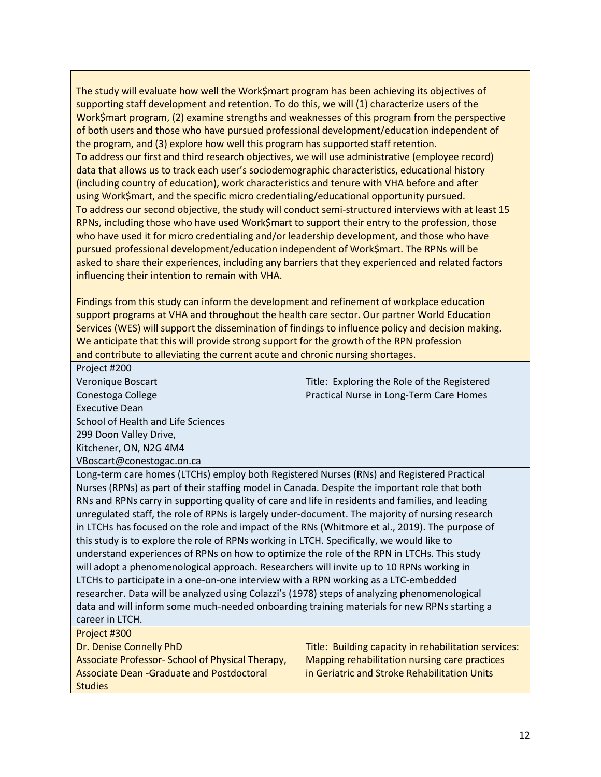The study will evaluate how well the Work\$mart program has been achieving its objectives of supporting staff development and retention. To do this, we will (1) characterize users of the Work\$mart program, (2) examine strengths and weaknesses of this program from the perspective of both users and those who have pursued professional development/education independent of the program, and (3) explore how well this program has supported staff retention. To address our first and third research objectives, we will use administrative (employee record) data that allows us to track each user's sociodemographic characteristics, educational history (including country of education), work characteristics and tenure with VHA before and after using Work\$mart, and the specific micro credentialing/educational opportunity pursued. To address our second objective, the study will conduct semi-structured interviews with at least 15 RPNs, including those who have used Work\$mart to support their entry to the profession, those who have used it for micro credentialing and/or leadership development, and those who have pursued professional development/education independent of Work\$mart. The RPNs will be asked to share their experiences, including any barriers that they experienced and related factors influencing their intention to remain with VHA.

Findings from this study can inform the development and refinement of workplace education support programs at VHA and throughout the health care sector. Our partner World Education Services (WES) will support the dissemination of findings to influence policy and decision making. We anticipate that this will provide strong support for the growth of the RPN profession and contribute to alleviating the current acute and chronic nursing shortages.

Project #200

| Veronique Boscart                                                                         | Title: Exploring the Role of the Registered |
|-------------------------------------------------------------------------------------------|---------------------------------------------|
| Conestoga College                                                                         | Practical Nurse in Long-Term Care Homes     |
| <b>Executive Dean</b>                                                                     |                                             |
| School of Health and Life Sciences                                                        |                                             |
| 299 Doon Valley Drive,                                                                    |                                             |
| Kitchener, ON, N2G 4M4                                                                    |                                             |
| VBoscart@conestogac.on.ca                                                                 |                                             |
| Long-term care homes (LTCHs) employ both Registered Nurses (RNs) and Registered Practical |                                             |

es (LTCHs) employ both Registered Nurses (RNs) and Regis Nurses (RPNs) as part of their staffing model in Canada. Despite the important role that both RNs and RPNs carry in supporting quality of care and life in residents and families, and leading unregulated staff, the role of RPNs is largely under-document. The majority of nursing research in LTCHs has focused on the role and impact of the RNs (Whitmore et al., 2019). The purpose of this study is to explore the role of RPNs working in LTCH. Specifically, we would like to understand experiences of RPNs on how to optimize the role of the RPN in LTCHs. This study will adopt a phenomenological approach. Researchers will invite up to 10 RPNs working in LTCHs to participate in a one-on-one interview with a RPN working as a LTC-embedded researcher. Data will be analyzed using Colazzi's (1978) steps of analyzing phenomenological data and will inform some much-needed onboarding training materials for new RPNs starting a career in LTCH. Project #300

| .                                               |                                                      |
|-------------------------------------------------|------------------------------------------------------|
| Dr. Denise Connelly PhD                         | Title: Building capacity in rehabilitation services: |
| Associate Professor-School of Physical Therapy, | Mapping rehabilitation nursing care practices        |
| Associate Dean - Graduate and Postdoctoral      | in Geriatric and Stroke Rehabilitation Units         |
| <b>Studies</b>                                  |                                                      |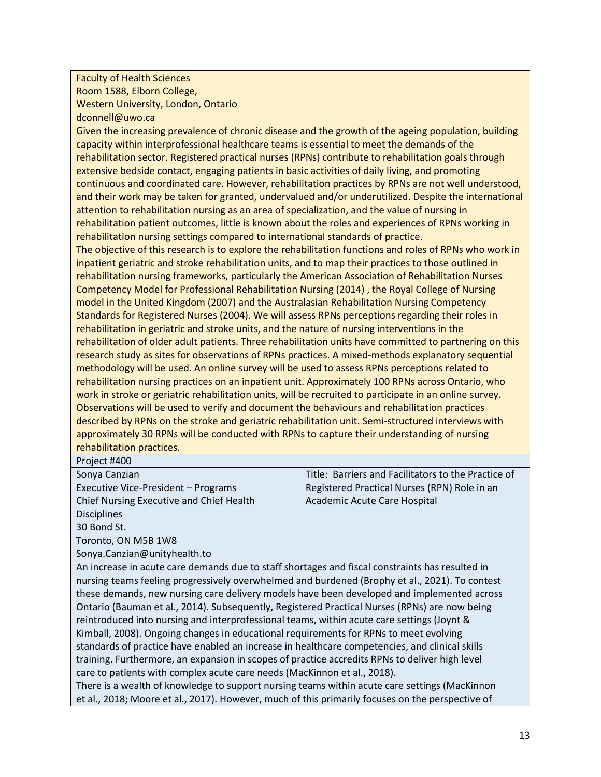| <b>Faculty of Health Sciences</b>                                                                       |                                                                                                      |
|---------------------------------------------------------------------------------------------------------|------------------------------------------------------------------------------------------------------|
| Room 1588, Elborn College,                                                                              |                                                                                                      |
| Western University, London, Ontario                                                                     |                                                                                                      |
| dconnell@uwo.ca                                                                                         |                                                                                                      |
| Given the increasing prevalence of chronic disease and the growth of the ageing population, building    |                                                                                                      |
| capacity within interprofessional healthcare teams is essential to meet the demands of the              |                                                                                                      |
| rehabilitation sector. Registered practical nurses (RPNs) contribute to rehabilitation goals through    |                                                                                                      |
| extensive bedside contact, engaging patients in basic activities of daily living, and promoting         |                                                                                                      |
| continuous and coordinated care. However, rehabilitation practices by RPNs are not well understood,     |                                                                                                      |
|                                                                                                         | and their work may be taken for granted, undervalued and/or underutilized. Despite the international |
| attention to rehabilitation nursing as an area of specialization, and the value of nursing in           |                                                                                                      |
| rehabilitation patient outcomes, little is known about the roles and experiences of RPNs working in     |                                                                                                      |
| rehabilitation nursing settings compared to international standards of practice.                        |                                                                                                      |
| The objective of this research is to explore the rehabilitation functions and roles of RPNs who work in |                                                                                                      |
| inpatient geriatric and stroke rehabilitation units, and to map their practices to those outlined in    |                                                                                                      |
| rehabilitation nursing frameworks, particularly the American Association of Rehabilitation Nurses       |                                                                                                      |
| Competency Model for Professional Rehabilitation Nursing (2014), the Royal College of Nursing           |                                                                                                      |
| model in the United Kingdom (2007) and the Australasian Rehabilitation Nursing Competency               |                                                                                                      |
| Standards for Registered Nurses (2004). We will assess RPNs perceptions regarding their roles in        |                                                                                                      |
| rehabilitation in geriatric and stroke units, and the nature of nursing interventions in the            |                                                                                                      |
| rehabilitation of older adult patients. Three rehabilitation units have committed to partnering on this |                                                                                                      |
| research study as sites for observations of RPNs practices. A mixed-methods explanatory sequential      |                                                                                                      |
| methodology will be used. An online survey will be used to assess RPNs perceptions related to           |                                                                                                      |
| rehabilitation nursing practices on an inpatient unit. Approximately 100 RPNs across Ontario, who       |                                                                                                      |
| work in stroke or geriatric rehabilitation units, will be recruited to participate in an online survey. |                                                                                                      |
| Observations will be used to verify and document the behaviours and rehabilitation practices            |                                                                                                      |
| described by PDNs on the stroke and geriatric repabilitation unit. Semi-structured intensieurs with     |                                                                                                      |

described by RPNs on the stroke and geriatric rehabilitation unit. Semi-structured interviews with approximately 30 RPNs will be conducted with RPNs to capture their understanding of nursing rehabilitation practices. Project #400

| Sonya Canzian                                                                                   | Title: Barriers and Facilitators to the Practice of |
|-------------------------------------------------------------------------------------------------|-----------------------------------------------------|
| Executive Vice-President - Programs                                                             | Registered Practical Nurses (RPN) Role in an        |
| Chief Nursing Executive and Chief Health                                                        | Academic Acute Care Hospital                        |
| <b>Disciplines</b>                                                                              |                                                     |
| 30 Bond St.                                                                                     |                                                     |
| Toronto, ON M5B 1W8                                                                             |                                                     |
| Sonya.Canzian@unityhealth.to                                                                    |                                                     |
| An increase in acute care demands due to staff shortages and fiscal constraints has resulted in |                                                     |

An increase in acute care demands due to staff shortages and fiscal constraints has resulted in nursing teams feeling progressively overwhelmed and burdened (Brophy et al., 2021). To contest these demands, new nursing care delivery models have been developed and implemented across Ontario (Bauman et al., 2014). Subsequently, Registered Practical Nurses (RPNs) are now being reintroduced into nursing and interprofessional teams, within acute care settings (Joynt & Kimball, 2008). Ongoing changes in educational requirements for RPNs to meet evolving standards of practice have enabled an increase in healthcare competencies, and clinical skills training. Furthermore, an expansion in scopes of practice accredits RPNs to deliver high level care to patients with complex acute care needs (MacKinnon et al., 2018).

There is a wealth of knowledge to support nursing teams within acute care settings (MacKinnon et al., 2018; Moore et al., 2017). However, much of this primarily focuses on the perspective of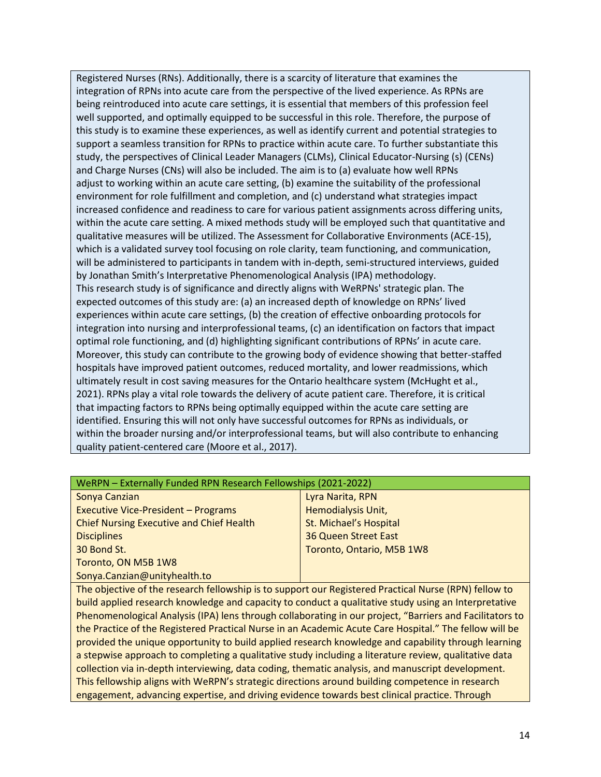Registered Nurses (RNs). Additionally, there is a scarcity of literature that examines the integration of RPNs into acute care from the perspective of the lived experience. As RPNs are being reintroduced into acute care settings, it is essential that members of this profession feel well supported, and optimally equipped to be successful in this role. Therefore, the purpose of this study is to examine these experiences, as well as identify current and potential strategies to support a seamless transition for RPNs to practice within acute care. To further substantiate this study, the perspectives of Clinical Leader Managers (CLMs), Clinical Educator-Nursing (s) (CENs) and Charge Nurses (CNs) will also be included. The aim is to (a) evaluate how well RPNs adjust to working within an acute care setting, (b) examine the suitability of the professional environment for role fulfillment and completion, and (c) understand what strategies impact increased confidence and readiness to care for various patient assignments across differing units, within the acute care setting. A mixed methods study will be employed such that quantitative and qualitative measures will be utilized. The Assessment for Collaborative Environments (ACE-15), which is a validated survey tool focusing on role clarity, team functioning, and communication, will be administered to participants in tandem with in-depth, semi-structured interviews, guided by Jonathan Smith's Interpretative Phenomenological Analysis (IPA) methodology. This research study is of significance and directly aligns with WeRPNs' strategic plan. The expected outcomes of this study are: (a) an increased depth of knowledge on RPNs' lived experiences within acute care settings, (b) the creation of effective onboarding protocols for integration into nursing and interprofessional teams, (c) an identification on factors that impact optimal role functioning, and (d) highlighting significant contributions of RPNs' in acute care. Moreover, this study can contribute to the growing body of evidence showing that better-staffed hospitals have improved patient outcomes, reduced mortality, and lower readmissions, which ultimately result in cost saving measures for the Ontario healthcare system (McHught et al., 2021). RPNs play a vital role towards the delivery of acute patient care. Therefore, it is critical that impacting factors to RPNs being optimally equipped within the acute care setting are identified. Ensuring this will not only have successful outcomes for RPNs as individuals, or within the broader nursing and/or interprofessional teams, but will also contribute to enhancing quality patient-centered care (Moore et al., 2017).

| WeRPN - Externally Funded RPN Research Fellowships (2021-2022) |                             |
|----------------------------------------------------------------|-----------------------------|
| Sonya Canzian                                                  | Lyra Narita, RPN            |
| <b>Executive Vice-President - Programs</b>                     | Hemodialysis Unit,          |
| <b>Chief Nursing Executive and Chief Health</b>                | St. Michael's Hospital      |
| <b>Disciplines</b>                                             | <b>36 Queen Street East</b> |
| 30 Bond St.                                                    | Toronto, Ontario, M5B 1W8   |
| Toronto, ON M5B 1W8                                            |                             |
| Sonya.Canzian@unityhealth.to                                   |                             |

The objective of the research fellowship is to support our Registered Practical Nurse (RPN) fellow to build applied research knowledge and capacity to conduct a qualitative study using an Interpretative Phenomenological Analysis (IPA) lens through collaborating in our project, "Barriers and Facilitators to the Practice of the Registered Practical Nurse in an Academic Acute Care Hospital." The fellow will be provided the unique opportunity to build applied research knowledge and capability through learning a stepwise approach to completing a qualitative study including a literature review, qualitative data collection via in-depth interviewing, data coding, thematic analysis, and manuscript development. This fellowship aligns with WeRPN's strategic directions around building competence in research engagement, advancing expertise, and driving evidence towards best clinical practice. Through